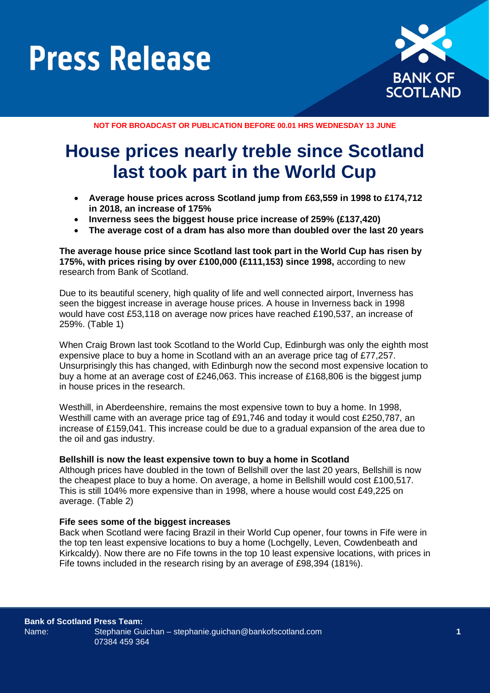

**NOT FOR BROADCAST OR PUBLICATION BEFORE 00.01 HRS WEDNESDAY 13 JUNE**

### **House prices nearly treble since Scotland last took part in the World Cup**

- **Average house prices across Scotland jump from £63,559 in 1998 to £174,712 in 2018, an increase of 175%**
- **Inverness sees the biggest house price increase of 259% (£137,420)**
- **The average cost of a dram has also more than doubled over the last 20 years**

#### **The average house price since Scotland last took part in the World Cup has risen by 175%, with prices rising by over £100,000 (£111,153) since 1998,** according to new research from Bank of Scotland.

Due to its beautiful scenery, high quality of life and well connected airport, Inverness has seen the biggest increase in average house prices. A house in Inverness back in 1998 would have cost £53,118 on average now prices have reached £190,537, an increase of 259%. (Table 1)

When Craig Brown last took Scotland to the World Cup, Edinburgh was only the eighth most expensive place to buy a home in Scotland with an an average price tag of £77,257. Unsurprisingly this has changed, with Edinburgh now the second most expensive location to buy a home at an average cost of £246,063. This increase of £168,806 is the biggest jump in house prices in the research.

Westhill, in Aberdeenshire, remains the most expensive town to buy a home. In 1998, Westhill came with an average price tag of £91,746 and today it would cost £250,787, an increase of £159,041. This increase could be due to a gradual expansion of the area due to the oil and gas industry.

#### **Bellshill is now the least expensive town to buy a home in Scotland**

Although prices have doubled in the town of Bellshill over the last 20 years, Bellshill is now the cheapest place to buy a home. On average, a home in Bellshill would cost £100,517. This is still 104% more expensive than in 1998, where a house would cost £49,225 on average. (Table 2)

#### **Fife sees some of the biggest increases**

Back when Scotland were facing Brazil in their World Cup opener, four towns in Fife were in the top ten least expensive locations to buy a home (Lochgelly, Leven, Cowdenbeath and Kirkcaldy). Now there are no Fife towns in the top 10 least expensive locations, with prices in Fife towns included in the research rising by an average of £98,394 (181%).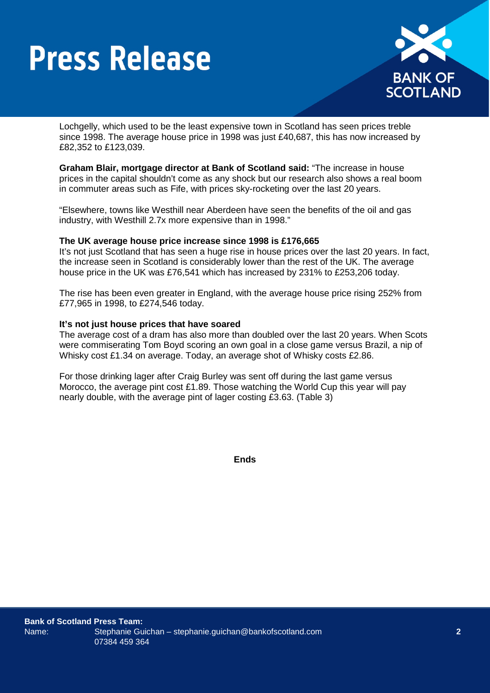

Lochgelly, which used to be the least expensive town in Scotland has seen prices treble since 1998. The average house price in 1998 was just £40,687, this has now increased by £82,352 to £123,039.

**Graham Blair, mortgage director at Bank of Scotland said:** "The increase in house prices in the capital shouldn't come as any shock but our research also shows a real boom in commuter areas such as Fife, with prices sky-rocketing over the last 20 years.

"Elsewhere, towns like Westhill near Aberdeen have seen the benefits of the oil and gas industry, with Westhill 2.7x more expensive than in 1998."

#### **The UK average house price increase since 1998 is £176,665**

It's not just Scotland that has seen a huge rise in house prices over the last 20 years. In fact, the increase seen in Scotland is considerably lower than the rest of the UK. The average house price in the UK was £76,541 which has increased by 231% to £253,206 today.

The rise has been even greater in England, with the average house price rising 252% from £77,965 in 1998, to £274,546 today.

#### **It's not just house prices that have soared**

The average cost of a dram has also more than doubled over the last 20 years. When Scots were commiserating Tom Boyd scoring an own goal in a close game versus Brazil, a nip of Whisky cost £1.34 on average. Today, an average shot of Whisky costs £2.86.

For those drinking lager after Craig Burley was sent off during the last game versus Morocco, the average pint cost £1.89. Those watching the World Cup this year will pay nearly double, with the average pint of lager costing £3.63. (Table 3)

**Ends**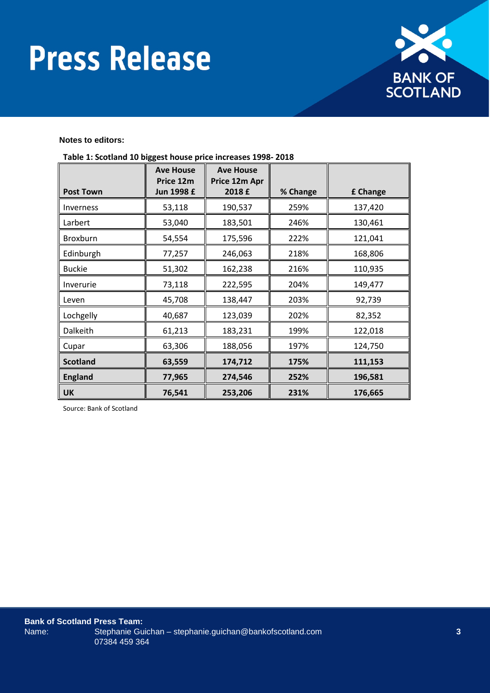

#### **Notes to editors:**

|                  | <b>Ave House</b><br>Price 12m | <b>Ave House</b><br>Price 12m Apr |          |          |
|------------------|-------------------------------|-----------------------------------|----------|----------|
| <b>Post Town</b> | Jun 1998 £                    | 2018 £                            | % Change | £ Change |
| Inverness        | 53,118                        | 190,537                           | 259%     | 137,420  |
| Larbert          | 53,040                        | 183,501                           | 246%     | 130,461  |
| Broxburn         | 54,554                        | 175,596                           | 222%     | 121,041  |
| Edinburgh        | 77,257                        | 246,063                           | 218%     | 168,806  |
| <b>Buckie</b>    | 51,302                        | 162,238                           | 216%     | 110,935  |
| Inverurie        | 73,118                        | 222,595                           | 204%     | 149,477  |
| Leven            | 45,708                        | 138,447                           | 203%     | 92,739   |
| Lochgelly        | 40,687                        | 123,039                           | 202%     | 82,352   |
| Dalkeith         | 61,213                        | 183,231                           | 199%     | 122,018  |
| Cupar            | 63,306                        | 188,056                           | 197%     | 124,750  |
| <b>Scotland</b>  | 63,559                        | 174,712                           | 175%     | 111,153  |
| <b>England</b>   | 77,965                        | 274,546                           | 252%     | 196,581  |
| <b>UK</b>        | 76,541                        | 253,206                           | 231%     | 176,665  |

**Table 1: Scotland 10 biggest house price increases 1998- 2018**

Source: Bank of Scotland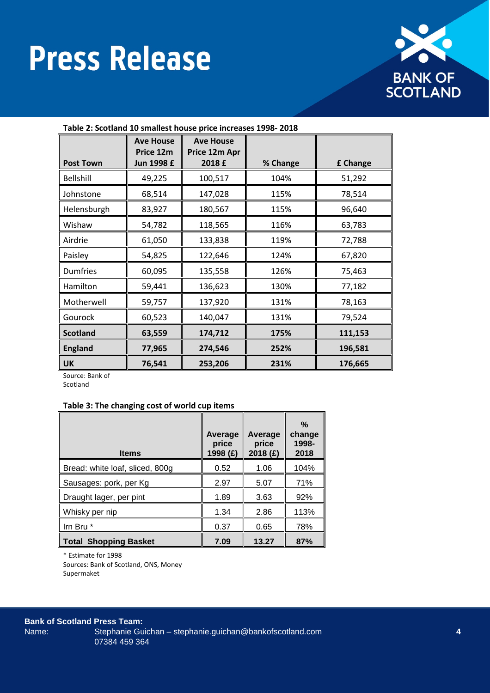

| Table 2. Scotland 10 sinaliest house price increases 1990-2010 |                                             |                                             |          |          |
|----------------------------------------------------------------|---------------------------------------------|---------------------------------------------|----------|----------|
| <b>Post Town</b>                                               | <b>Ave House</b><br>Price 12m<br>Jun 1998 £ | <b>Ave House</b><br>Price 12m Apr<br>2018 £ | % Change | £ Change |
| <b>Bellshill</b>                                               | 49,225                                      | 100,517                                     | 104%     | 51,292   |
| Johnstone                                                      | 68,514                                      | 147,028                                     | 115%     | 78,514   |
| Helensburgh                                                    | 83,927                                      | 180,567                                     | 115%     | 96,640   |
| Wishaw                                                         | 54,782                                      | 118,565                                     | 116%     | 63,783   |
| Airdrie                                                        | 61,050                                      | 133,838                                     | 119%     | 72,788   |
| Paisley                                                        | 54,825                                      | 122,646                                     | 124%     | 67,820   |
| <b>Dumfries</b>                                                | 60,095                                      | 135,558                                     | 126%     | 75,463   |
| Hamilton                                                       | 59,441                                      | 136,623                                     | 130%     | 77,182   |
| Motherwell                                                     | 59,757                                      | 137,920                                     | 131%     | 78,163   |
| Gourock                                                        | 60,523                                      | 140,047                                     | 131%     | 79,524   |
| <b>Scotland</b>                                                | 63,559                                      | 174,712                                     | 175%     | 111,153  |
| <b>England</b>                                                 | 77,965                                      | 274,546                                     | 252%     | 196,581  |
| <b>UK</b>                                                      | 76,541                                      | 253,206                                     | 231%     | 176,665  |

**Table 2: Scotland 10 smallest house price increases 1998- 2018**

Source: Bank of

Scotland

#### **Table 3: The changing cost of world cup items**

| <b>Items</b>                    | Average<br>price<br>1998 (£) | Average<br>price<br>2018 (£) | $\%$<br>change<br>1998-<br>2018 |
|---------------------------------|------------------------------|------------------------------|---------------------------------|
| Bread: white loaf, sliced, 800g | 0.52                         | 1.06                         | 104%                            |
| Sausages: pork, per Kg          | 2.97                         | 5.07                         | 71%                             |
| Draught lager, per pint         | 1.89                         | 3.63                         | 92%                             |
| Whisky per nip                  | 1.34                         | 2.86                         | 113%                            |
| Irn Bru *                       | 0.37                         | 0.65                         | 78%                             |
| <b>Total Shopping Basket</b>    | 7.09                         | 13.27                        | 87%                             |

\* Estimate for 1998

Sources: Bank of Scotland, ONS, Money Supermaket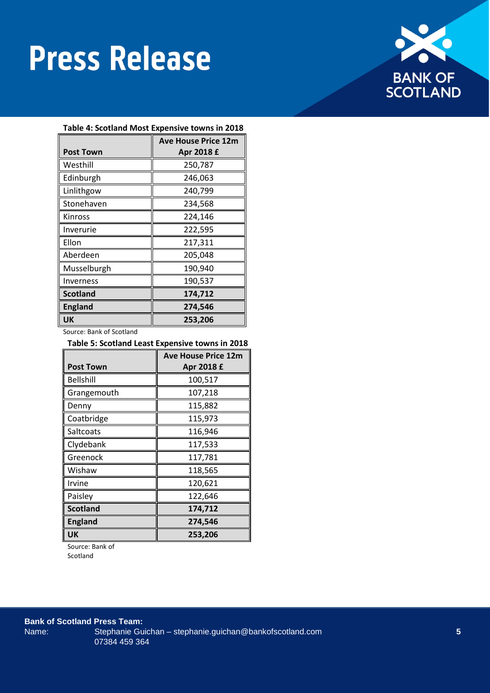

#### **Table 4: Scotland Most Expensive towns in 2018**

|                  | <b>Ave House Price 12m</b> |
|------------------|----------------------------|
| <b>Post Town</b> | Apr 2018 £                 |
| Westhill         | 250,787                    |
| Edinburgh        | 246,063                    |
| Linlithgow       | 240,799                    |
| Stonehaven       | 234,568                    |
| Kinross          | 224,146                    |
| Inverurie        | 222,595                    |
| Ellon            | 217,311                    |
| Aberdeen         | 205,048                    |
| Musselburgh      | 190,940                    |
| Inverness        | 190,537                    |
| <b>Scotland</b>  | 174,712                    |
| <b>England</b>   | 274,546                    |
| UK               | 253,206                    |

Source: Bank of Scotland

| Table 5: Scotland Least Expensive towns in 2018 |            |  |
|-------------------------------------------------|------------|--|
| <b>Ave House Price 12m</b>                      |            |  |
| <b>Post Town</b>                                | Apr 2018 £ |  |
| <b>Bellshill</b>                                | 100,517    |  |
| Grangemouth                                     | 107,218    |  |
| Denny                                           | 115,882    |  |
| Coatbridge                                      | 115,973    |  |
| Saltcoats                                       | 116,946    |  |
| Clydebank                                       | 117,533    |  |
| Greenock                                        | 117,781    |  |
| Wishaw                                          | 118,565    |  |
| Irvine                                          | 120,621    |  |
| Paisley                                         | 122,646    |  |
| <b>Scotland</b>                                 | 174,712    |  |
| <b>England</b>                                  | 274,546    |  |
| <b>UK</b>                                       | 253,206    |  |

Source: Bank of Scotland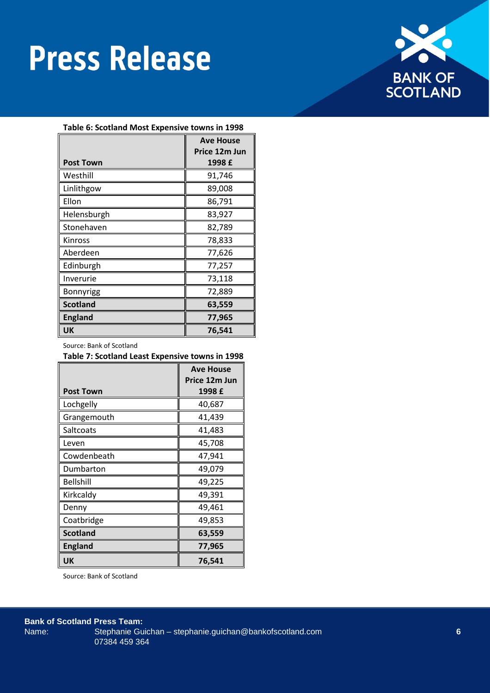

| Table 6: Scotland Most Expensive towns in 1998 |                  |  |
|------------------------------------------------|------------------|--|
|                                                | <b>Ave House</b> |  |
|                                                | Price 12m Jun    |  |
| <b>Post Town</b>                               | 1998 £           |  |
| Westhill                                       | 91,746           |  |
| Linlithgow                                     | 89,008           |  |
| Ellon                                          | 86,791           |  |
| Helensburgh                                    | 83,927           |  |
| Stonehaven                                     | 82,789           |  |
| Kinross                                        | 78,833           |  |
| Aberdeen                                       | 77,626           |  |
| Edinburgh                                      | 77,257           |  |
| Inverurie                                      | 73,118           |  |
| Bonnyrigg                                      | 72,889           |  |
| <b>Scotland</b>                                | 63,559           |  |
| <b>England</b>                                 | 77,965           |  |
| <b>UK</b>                                      | 76,541           |  |

Source: Bank of Scotland

#### **Table 7: Scotland Least Expensive towns in 1998**

|                  | <b>Ave House</b> |
|------------------|------------------|
|                  | Price 12m Jun    |
| <b>Post Town</b> | 1998 £           |
| Lochgelly        | 40,687           |
| Grangemouth      | 41,439           |
| Saltcoats        | 41,483           |
| Leven            | 45,708           |
| Cowdenbeath      | 47,941           |
| Dumbarton        | 49,079           |
| <b>Bellshill</b> | 49,225           |
| Kirkcaldy        | 49,391           |
| Denny            | 49,461           |
| Coatbridge       | 49,853           |
| <b>Scotland</b>  | 63,559           |
| <b>England</b>   | 77,965           |
| UK               | 76,541           |

Source: Bank of Scotland